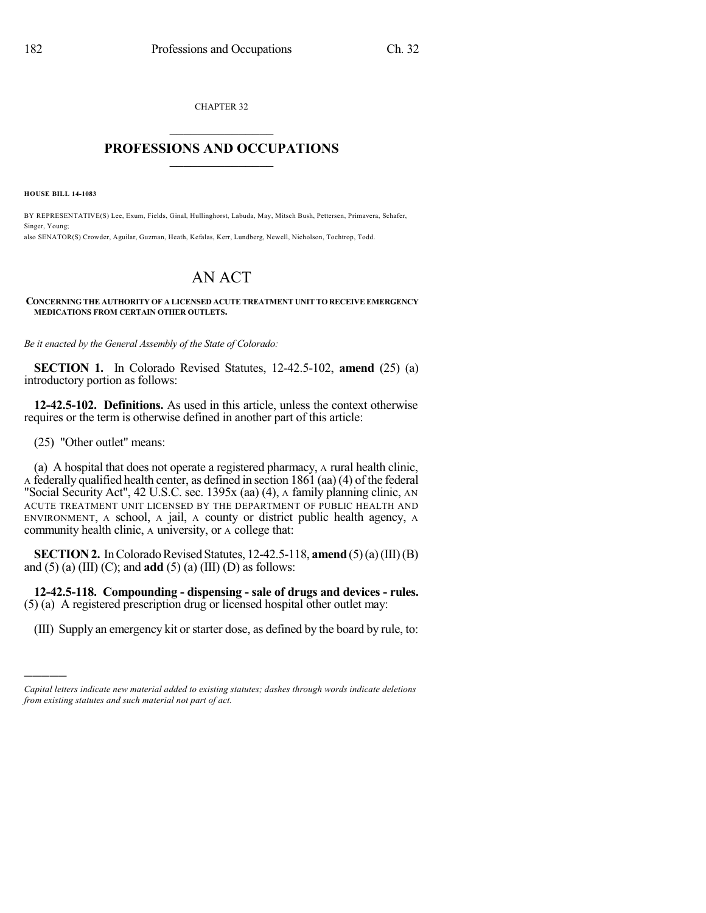CHAPTER 32  $\overline{\phantom{a}}$  . The set of the set of the set of the set of the set of the set of the set of the set of the set of the set of the set of the set of the set of the set of the set of the set of the set of the set of the set o

## **PROFESSIONS AND OCCUPATIONS**  $\frac{1}{2}$  ,  $\frac{1}{2}$  ,  $\frac{1}{2}$  ,  $\frac{1}{2}$  ,  $\frac{1}{2}$  ,  $\frac{1}{2}$  ,  $\frac{1}{2}$

**HOUSE BILL 14-1083**

BY REPRESENTATIVE(S) Lee, Exum, Fields, Ginal, Hullinghorst, Labuda, May, Mitsch Bush, Pettersen, Primavera, Schafer, Singer, Young; also SENATOR(S) Crowder, Aguilar, Guzman, Heath, Kefalas, Kerr, Lundberg, Newell, Nicholson, Tochtrop, Todd.

## AN ACT

**CONCERNING THE AUTHORITY OF A LICENSED ACUTE TREATMENT UNIT TO RECEIVE EMERGENCY MEDICATIONS FROM CERTAIN OTHER OUTLETS.**

*Be it enacted by the General Assembly of the State of Colorado:*

**SECTION 1.** In Colorado Revised Statutes, 12-42.5-102, **amend** (25) (a) introductory portion as follows:

**12-42.5-102. Definitions.** As used in this article, unless the context otherwise requires or the term is otherwise defined in another part of this article:

(25) "Other outlet" means:

)))))

(a) A hospital that does not operate a registered pharmacy, A rural health clinic, A federally qualified health center, as defined in section 1861 (aa)(4) of the federal "Social Security Act", 42 U.S.C. sec. 1395x (aa) (4), A family planning clinic, AN ACUTE TREATMENT UNIT LICENSED BY THE DEPARTMENT OF PUBLIC HEALTH AND ENVIRONMENT, A school, A jail, A county or district public health agency, A community health clinic, A university, or A college that:

**SECTION 2.** In Colorado Revised Statutes, 12-42.5-118, **amend** (5)(a)(III)(B) and (5) (a) (III) (C); and **add** (5) (a) (III) (D) as follows:

**12-42.5-118. Compounding - dispensing - sale of drugs and devices - rules.** (5) (a) A registered prescription drug or licensed hospital other outlet may:

(III) Supply an emergency kit orstarter dose, as defined by the board by rule, to:

*Capital letters indicate new material added to existing statutes; dashes through words indicate deletions from existing statutes and such material not part of act.*